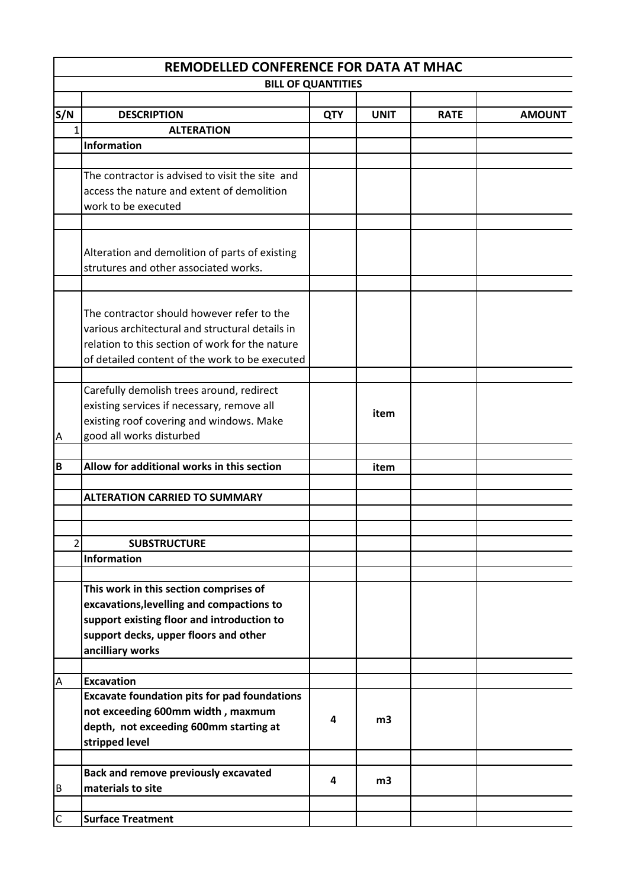|                | REMODELLED CONFERENCE FOR DATA AT MHAC                            |            |             |             |               |  |  |
|----------------|-------------------------------------------------------------------|------------|-------------|-------------|---------------|--|--|
|                | <b>BILL OF QUANTITIES</b>                                         |            |             |             |               |  |  |
|                |                                                                   |            |             |             |               |  |  |
| S/N            | <b>DESCRIPTION</b>                                                | <b>QTY</b> | <b>UNIT</b> | <b>RATE</b> | <b>AMOUNT</b> |  |  |
| 1              | <b>ALTERATION</b>                                                 |            |             |             |               |  |  |
|                | Information                                                       |            |             |             |               |  |  |
|                | The contractor is advised to visit the site and                   |            |             |             |               |  |  |
|                |                                                                   |            |             |             |               |  |  |
|                | access the nature and extent of demolition<br>work to be executed |            |             |             |               |  |  |
|                |                                                                   |            |             |             |               |  |  |
|                |                                                                   |            |             |             |               |  |  |
|                | Alteration and demolition of parts of existing                    |            |             |             |               |  |  |
|                | strutures and other associated works.                             |            |             |             |               |  |  |
|                |                                                                   |            |             |             |               |  |  |
|                |                                                                   |            |             |             |               |  |  |
|                | The contractor should however refer to the                        |            |             |             |               |  |  |
|                | various architectural and structural details in                   |            |             |             |               |  |  |
|                | relation to this section of work for the nature                   |            |             |             |               |  |  |
|                | of detailed content of the work to be executed                    |            |             |             |               |  |  |
|                |                                                                   |            |             |             |               |  |  |
|                | Carefully demolish trees around, redirect                         |            |             |             |               |  |  |
|                | existing services if necessary, remove all                        |            | item        |             |               |  |  |
|                | existing roof covering and windows. Make                          |            |             |             |               |  |  |
| A              | good all works disturbed                                          |            |             |             |               |  |  |
|                |                                                                   |            |             |             |               |  |  |
| B              | Allow for additional works in this section                        |            | item        |             |               |  |  |
|                | <b>ALTERATION CARRIED TO SUMMARY</b>                              |            |             |             |               |  |  |
|                |                                                                   |            |             |             |               |  |  |
|                |                                                                   |            |             |             |               |  |  |
| $\overline{2}$ | <b>SUBSTRUCTURE</b>                                               |            |             |             |               |  |  |
|                | Information                                                       |            |             |             |               |  |  |
|                |                                                                   |            |             |             |               |  |  |
|                | This work in this section comprises of                            |            |             |             |               |  |  |
|                | excavations, levelling and compactions to                         |            |             |             |               |  |  |
|                | support existing floor and introduction to                        |            |             |             |               |  |  |
|                | support decks, upper floors and other                             |            |             |             |               |  |  |
|                | ancilliary works                                                  |            |             |             |               |  |  |
| $\overline{A}$ | <b>Excavation</b>                                                 |            |             |             |               |  |  |
|                | <b>Excavate foundation pits for pad foundations</b>               |            |             |             |               |  |  |
|                | not exceeding 600mm width, maxmum                                 |            |             |             |               |  |  |
|                | depth, not exceeding 600mm starting at                            | 4          | m3          |             |               |  |  |
|                | stripped level                                                    |            |             |             |               |  |  |
|                |                                                                   |            |             |             |               |  |  |
|                | <b>Back and remove previously excavated</b>                       |            |             |             |               |  |  |
| B              | materials to site                                                 | 4          | m3          |             |               |  |  |
|                |                                                                   |            |             |             |               |  |  |
| $\mathsf C$    | <b>Surface Treatment</b>                                          |            |             |             |               |  |  |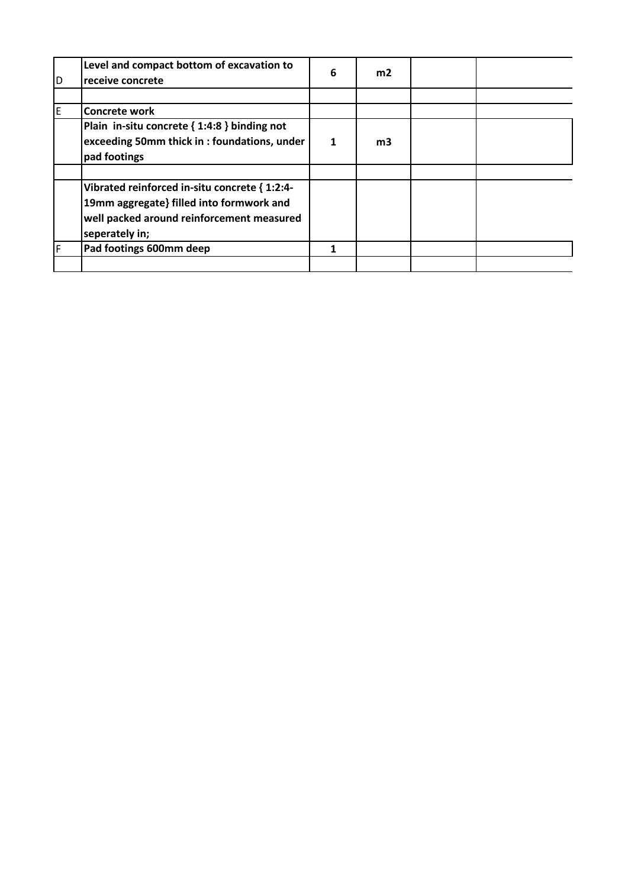| D | Level and compact bottom of excavation to<br>receive concrete                                                                                            | 6 | m <sub>2</sub> |  |
|---|----------------------------------------------------------------------------------------------------------------------------------------------------------|---|----------------|--|
|   |                                                                                                                                                          |   |                |  |
| F | Concrete work                                                                                                                                            |   |                |  |
|   | Plain in-situ concrete { 1:4:8 } binding not<br>exceeding 50mm thick in : foundations, under<br>pad footings                                             | 1 | m <sub>3</sub> |  |
|   |                                                                                                                                                          |   |                |  |
|   | Vibrated reinforced in-situ concrete { 1:2:4-<br>19mm aggregate} filled into formwork and<br>well packed around reinforcement measured<br>seperately in; |   |                |  |
| F | Pad footings 600mm deep                                                                                                                                  | 1 |                |  |
|   |                                                                                                                                                          |   |                |  |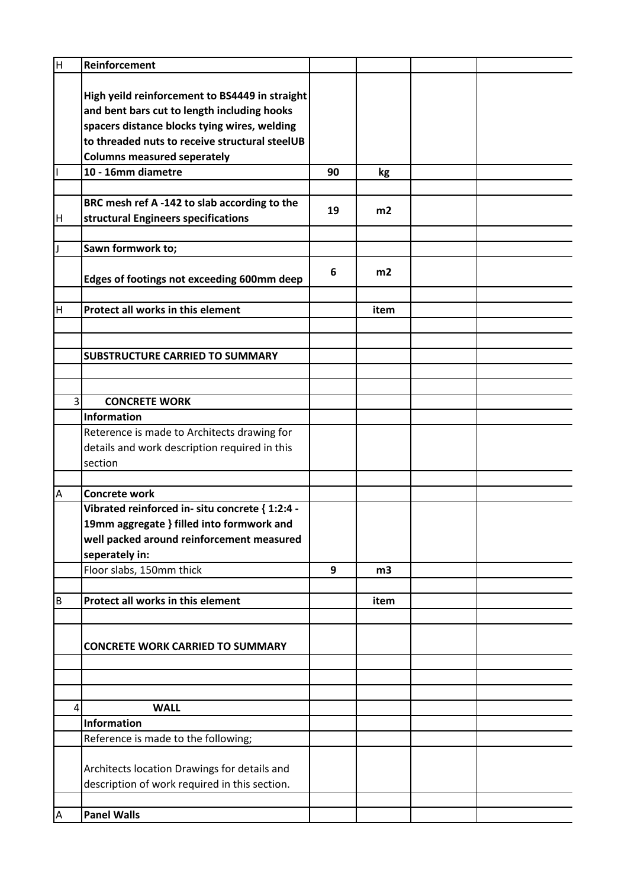| H              | Reinforcement                                   |    |                |  |
|----------------|-------------------------------------------------|----|----------------|--|
|                |                                                 |    |                |  |
|                | High yeild reinforcement to BS4449 in straight  |    |                |  |
|                | and bent bars cut to length including hooks     |    |                |  |
|                | spacers distance blocks tying wires, welding    |    |                |  |
|                | to threaded nuts to receive structural steelUB  |    |                |  |
|                | <b>Columns measured seperately</b>              |    |                |  |
|                | 10 - 16mm diametre                              | 90 | kg             |  |
|                |                                                 |    |                |  |
|                | BRC mesh ref A-142 to slab according to the     |    |                |  |
| H              | structural Engineers specifications             | 19 | m2             |  |
|                |                                                 |    |                |  |
| IJ             | Sawn formwork to;                               |    |                |  |
|                |                                                 | 6  | m <sub>2</sub> |  |
|                | Edges of footings not exceeding 600mm deep      |    |                |  |
|                |                                                 |    |                |  |
| H              | Protect all works in this element               |    | item           |  |
|                |                                                 |    |                |  |
|                |                                                 |    |                |  |
|                | <b>SUBSTRUCTURE CARRIED TO SUMMARY</b>          |    |                |  |
|                |                                                 |    |                |  |
| 3              | <b>CONCRETE WORK</b>                            |    |                |  |
|                | Information                                     |    |                |  |
|                | Reterence is made to Architects drawing for     |    |                |  |
|                | details and work description required in this   |    |                |  |
|                | section                                         |    |                |  |
|                |                                                 |    |                |  |
| $\mathsf A$    | <b>Concrete work</b>                            |    |                |  |
|                | Vibrated reinforced in- situ concrete { 1:2:4 - |    |                |  |
|                | 19mm aggregate } filled into formwork and       |    |                |  |
|                | well packed around reinforcement measured       |    |                |  |
|                | seperately in:                                  |    |                |  |
|                | Floor slabs, 150mm thick                        | 9  | m <sub>3</sub> |  |
|                |                                                 |    |                |  |
| $\sf B$        | Protect all works in this element               |    | item           |  |
|                |                                                 |    |                |  |
|                |                                                 |    |                |  |
|                | <b>CONCRETE WORK CARRIED TO SUMMARY</b>         |    |                |  |
|                |                                                 |    |                |  |
|                |                                                 |    |                |  |
| 4              | <b>WALL</b>                                     |    |                |  |
|                | Information                                     |    |                |  |
|                | Reference is made to the following;             |    |                |  |
|                |                                                 |    |                |  |
|                | Architects location Drawings for details and    |    |                |  |
|                | description of work required in this section.   |    |                |  |
|                |                                                 |    |                |  |
| $\overline{A}$ | <b>Panel Walls</b>                              |    |                |  |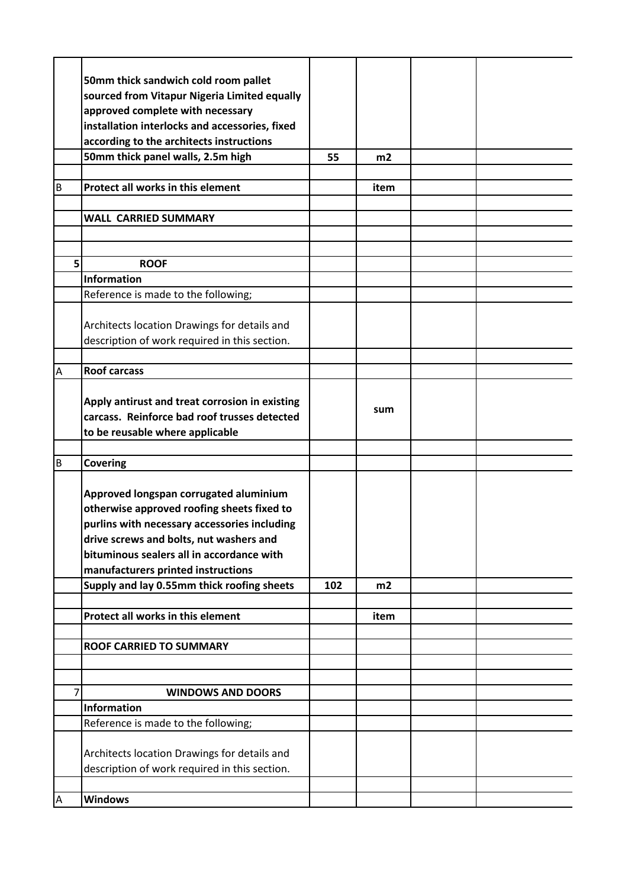|                | 50mm thick sandwich cold room pallet                                                           |     |      |  |
|----------------|------------------------------------------------------------------------------------------------|-----|------|--|
|                | sourced from Vitapur Nigeria Limited equally                                                   |     |      |  |
|                | approved complete with necessary                                                               |     |      |  |
|                | installation interlocks and accessories, fixed                                                 |     |      |  |
|                | according to the architects instructions                                                       |     |      |  |
|                | 50mm thick panel walls, 2.5m high                                                              | 55  | m2   |  |
|                |                                                                                                |     |      |  |
| В              | Protect all works in this element                                                              |     | item |  |
|                |                                                                                                |     |      |  |
|                | <b>WALL CARRIED SUMMARY</b>                                                                    |     |      |  |
|                |                                                                                                |     |      |  |
|                |                                                                                                |     |      |  |
| 5              | <b>ROOF</b>                                                                                    |     |      |  |
|                | Information                                                                                    |     |      |  |
|                | Reference is made to the following;                                                            |     |      |  |
|                |                                                                                                |     |      |  |
|                | Architects location Drawings for details and                                                   |     |      |  |
|                | description of work required in this section.                                                  |     |      |  |
|                |                                                                                                |     |      |  |
| Α              | <b>Roof carcass</b>                                                                            |     |      |  |
|                |                                                                                                |     |      |  |
|                | Apply antirust and treat corrosion in existing<br>carcass. Reinforce bad roof trusses detected |     | sum  |  |
|                |                                                                                                |     |      |  |
|                | to be reusable where applicable                                                                |     |      |  |
| B              | <b>Covering</b>                                                                                |     |      |  |
|                |                                                                                                |     |      |  |
|                | Approved longspan corrugated aluminium                                                         |     |      |  |
|                | otherwise approved roofing sheets fixed to                                                     |     |      |  |
|                | purlins with necessary accessories including                                                   |     |      |  |
|                | drive screws and bolts, nut washers and                                                        |     |      |  |
|                | bituminous sealers all in accordance with                                                      |     |      |  |
|                | manufacturers printed instructions                                                             |     |      |  |
|                | Supply and lay 0.55mm thick roofing sheets                                                     | 102 | m2   |  |
|                |                                                                                                |     |      |  |
|                | Protect all works in this element                                                              |     | item |  |
|                | <b>ROOF CARRIED TO SUMMARY</b>                                                                 |     |      |  |
|                |                                                                                                |     |      |  |
|                |                                                                                                |     |      |  |
| $\overline{7}$ | <b>WINDOWS AND DOORS</b>                                                                       |     |      |  |
|                | <b>Information</b>                                                                             |     |      |  |
|                | Reference is made to the following;                                                            |     |      |  |
|                |                                                                                                |     |      |  |
|                | Architects location Drawings for details and                                                   |     |      |  |
|                | description of work required in this section.                                                  |     |      |  |
|                |                                                                                                |     |      |  |
|                |                                                                                                |     |      |  |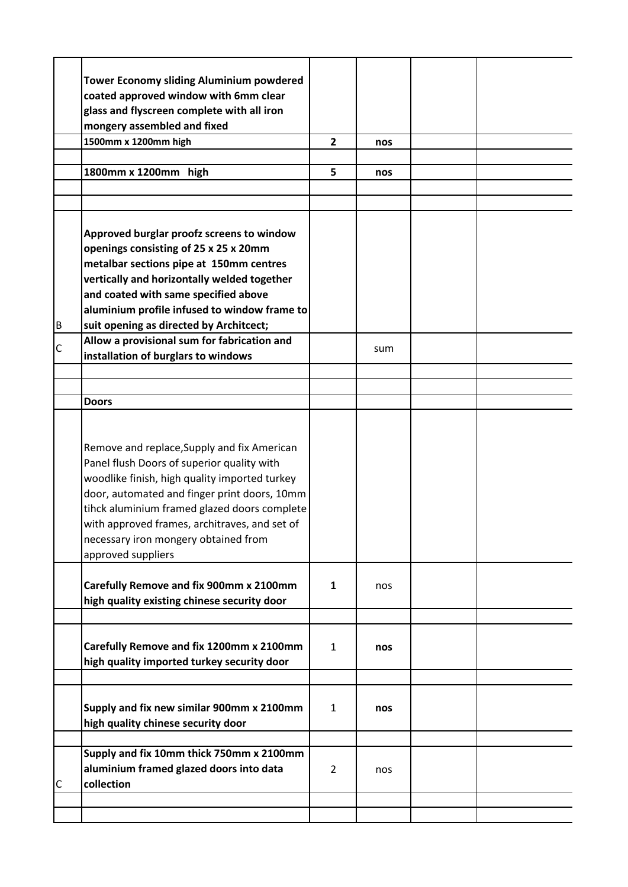|              | <b>Tower Economy sliding Aluminium powdered</b>                                              |                |     |  |
|--------------|----------------------------------------------------------------------------------------------|----------------|-----|--|
|              | coated approved window with 6mm clear                                                        |                |     |  |
|              | glass and flyscreen complete with all iron                                                   |                |     |  |
|              | mongery assembled and fixed                                                                  |                |     |  |
|              | 1500mm x 1200mm high                                                                         | $\overline{2}$ | nos |  |
|              |                                                                                              |                |     |  |
|              | 1800mm x 1200mm high                                                                         | 5              | nos |  |
|              |                                                                                              |                |     |  |
|              |                                                                                              |                |     |  |
|              |                                                                                              |                |     |  |
|              | Approved burglar proofz screens to window                                                    |                |     |  |
|              | openings consisting of 25 x 25 x 20mm                                                        |                |     |  |
|              | metalbar sections pipe at 150mm centres                                                      |                |     |  |
|              | vertically and horizontally welded together                                                  |                |     |  |
|              | and coated with same specified above                                                         |                |     |  |
|              | aluminium profile infused to window frame to                                                 |                |     |  |
| B            | suit opening as directed by Architcect;                                                      |                |     |  |
| $\mathsf{C}$ | Allow a provisional sum for fabrication and                                                  |                | sum |  |
|              | installation of burglars to windows                                                          |                |     |  |
|              |                                                                                              |                |     |  |
|              |                                                                                              |                |     |  |
|              | <b>Doors</b>                                                                                 |                |     |  |
|              |                                                                                              |                |     |  |
|              |                                                                                              |                |     |  |
|              | Remove and replace, Supply and fix American                                                  |                |     |  |
|              | Panel flush Doors of superior quality with                                                   |                |     |  |
|              | woodlike finish, high quality imported turkey                                                |                |     |  |
|              | door, automated and finger print doors, 10mm<br>tihck aluminium framed glazed doors complete |                |     |  |
|              | with approved frames, architraves, and set of                                                |                |     |  |
|              | necessary iron mongery obtained from                                                         |                |     |  |
|              | approved suppliers                                                                           |                |     |  |
|              |                                                                                              |                |     |  |
|              | Carefully Remove and fix 900mm x 2100mm                                                      | $\mathbf{1}$   | nos |  |
|              | high quality existing chinese security door                                                  |                |     |  |
|              |                                                                                              |                |     |  |
|              |                                                                                              |                |     |  |
|              | Carefully Remove and fix 1200mm x 2100mm                                                     | $\mathbf{1}$   | nos |  |
|              | high quality imported turkey security door                                                   |                |     |  |
|              |                                                                                              |                |     |  |
|              |                                                                                              |                |     |  |
|              | Supply and fix new similar 900mm x 2100mm                                                    | $\mathbf{1}$   | nos |  |
|              | high quality chinese security door                                                           |                |     |  |
|              |                                                                                              |                |     |  |
|              | Supply and fix 10mm thick 750mm x 2100mm                                                     |                |     |  |
|              | aluminium framed glazed doors into data                                                      | $\overline{2}$ | nos |  |
| C            | collection                                                                                   |                |     |  |
|              |                                                                                              |                |     |  |
|              |                                                                                              |                |     |  |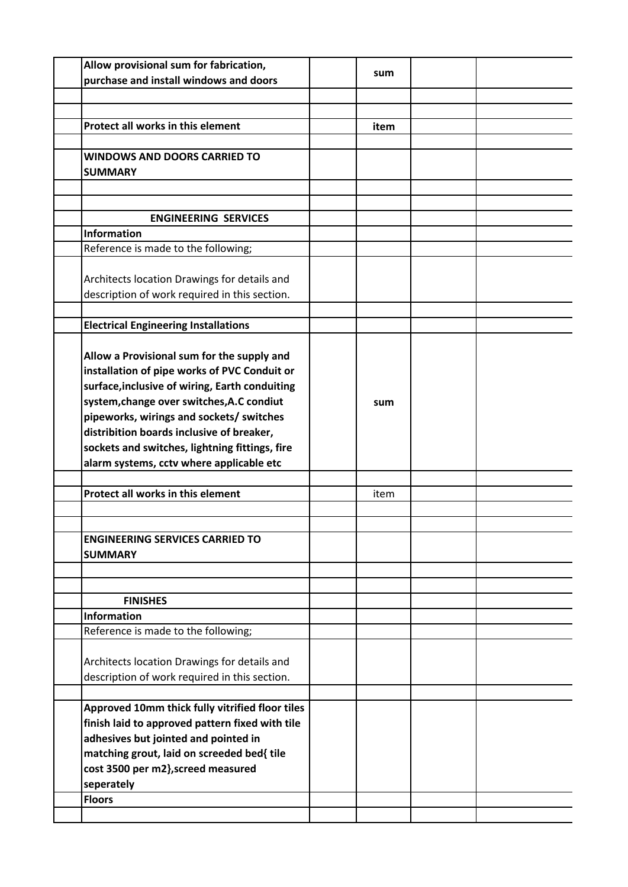| Allow provisional sum for fabrication,          |      |  |
|-------------------------------------------------|------|--|
| purchase and install windows and doors          | sum  |  |
|                                                 |      |  |
|                                                 |      |  |
|                                                 |      |  |
| Protect all works in this element               | item |  |
|                                                 |      |  |
| <b>WINDOWS AND DOORS CARRIED TO</b>             |      |  |
| <b>SUMMARY</b>                                  |      |  |
|                                                 |      |  |
|                                                 |      |  |
| <b>ENGINEERING SERVICES</b>                     |      |  |
| Information                                     |      |  |
| Reference is made to the following;             |      |  |
|                                                 |      |  |
|                                                 |      |  |
| Architects location Drawings for details and    |      |  |
| description of work required in this section.   |      |  |
|                                                 |      |  |
| <b>Electrical Engineering Installations</b>     |      |  |
|                                                 |      |  |
| Allow a Provisional sum for the supply and      |      |  |
| installation of pipe works of PVC Conduit or    |      |  |
| surface, inclusive of wiring, Earth conduiting  |      |  |
| system, change over switches, A.C condiut       | sum  |  |
| pipeworks, wirings and sockets/ switches        |      |  |
|                                                 |      |  |
| distribition boards inclusive of breaker,       |      |  |
| sockets and switches, lightning fittings, fire  |      |  |
| alarm systems, cctv where applicable etc        |      |  |
|                                                 |      |  |
| Protect all works in this element               | item |  |
|                                                 |      |  |
|                                                 |      |  |
| <b>ENGINEERING SERVICES CARRIED TO</b>          |      |  |
| <b>SUMMARY</b>                                  |      |  |
|                                                 |      |  |
|                                                 |      |  |
| <b>FINISHES</b>                                 |      |  |
|                                                 |      |  |
| <b>Information</b>                              |      |  |
| Reference is made to the following;             |      |  |
|                                                 |      |  |
| Architects location Drawings for details and    |      |  |
| description of work required in this section.   |      |  |
|                                                 |      |  |
| Approved 10mm thick fully vitrified floor tiles |      |  |
| finish laid to approved pattern fixed with tile |      |  |
| adhesives but jointed and pointed in            |      |  |
| matching grout, laid on screeded bed{ tile      |      |  |
| cost 3500 per m2}, screed measured              |      |  |
|                                                 |      |  |
| seperately                                      |      |  |
| <b>Floors</b>                                   |      |  |
|                                                 |      |  |